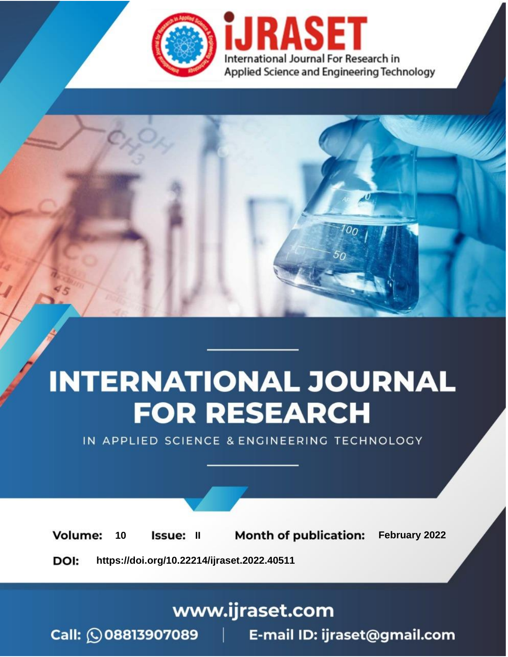

# **INTERNATIONAL JOURNAL FOR RESEARCH**

IN APPLIED SCIENCE & ENGINEERING TECHNOLOGY

**Month of publication:** February 2022 **Volume:** 10 **Issue: II** DOI: https://doi.org/10.22214/ijraset.2022.40511

www.ijraset.com

 $Call: \bigcirc$ 08813907089 E-mail ID: ijraset@gmail.com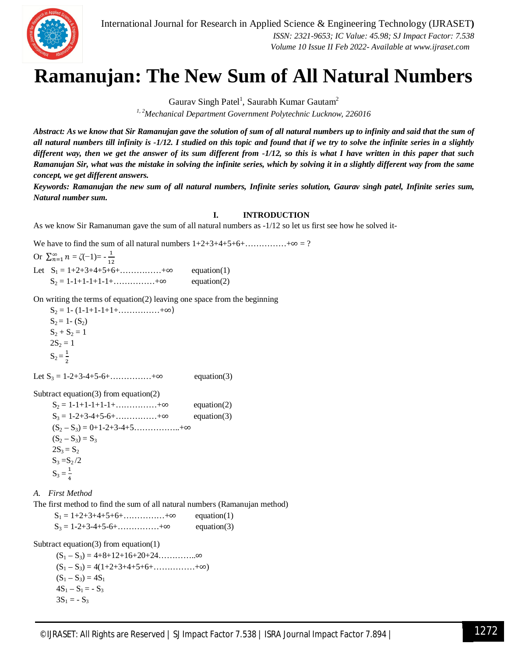

International Journal for Research in Applied Science & Engineering Technology (IJRASET**)**  *ISSN: 2321-9653; IC Value: 45.98; SJ Impact Factor: 7.538 Volume 10 Issue II Feb 2022- Available at www.ijraset.com*

### **Ramanujan: The New Sum of All Natural Numbers**

Gaurav Singh Patel<sup>1</sup>, Saurabh Kumar Gautam<sup>2</sup>

*1, 2Mechanical Department Government Polytechnic Lucknow, 226016*

*Abstract: As we know that Sir Ramanujan gave the solution of sum of all natural numbers up to infinity and said that the sum of all natural numbers till infinity is -1/12. I studied on this topic and found that if we try to solve the infinite series in a slightly different way, then we get the answer of its sum different from -1/12, so this is what I have written in this paper that such Ramanujan Sir, what was the mistake in solving the infinite series, which by solving it in a slightly different way from the same concept, we get different answers.*

*Keywords: Ramanujan the new sum of all natural numbers, Infinite series solution, Gaurav singh patel, Infinite series sum, Natural number sum.*

#### **I. INTRODUCTION**

As we know Sir Ramanuman gave the sum of all natural numbers as -1/12 so let us first see how he solved it-

We have to find the sum of all natural numbers  $1+2+3+4+5+6+\dots$   $2+3+4+5+6+\dots$ 

Or  $\sum_{n=1}^{\infty} n = \zeta(-1) = -\frac{1}{12}$  $12$ Let  $S_1 = 1+2+3+4+5+6+$ ……………+∞ equation(1)  $S_2 = 1-1+1-1+1-1+\dots+ \infty$  equation(2)

On writing the terms of equation(2) leaving one space from the beginning

 $S_2 = 1 - (1 - 1 + 1 - 1 + 1 + \ldots + \infty)$  $S_2 = 1 - (S_2)$  $S_2 + S_2 = 1$  $2S_2 = 1$  $S_2 = \frac{1}{2}$ 2

Let  $S_3 = 1-2+3-4+5-6+$ ……………+∞ equation(3)

Subtract equation(3) from equation(2)

| $S_2 = 1 - 1 + 1 - 1 + 1 - 1 + \dots + \infty$ | equation $(2)$ |
|------------------------------------------------|----------------|
| $S_3 = 1 - 2 + 3 - 4 + 5 - 6 + \dots + \infty$ | equation $(3)$ |
| $(S_2-S_3) = 0+1-2+3-4+5$ +∞                   |                |
| $(S_2 - S_3) = S_3$                            |                |
| $2S_3 = S_2$                                   |                |
| $S_3 = S_2/2$                                  |                |
| $S_3 = \frac{1}{4}$                            |                |

*A. First Method*

The first method to find the sum of all natural numbers (Ramanujan method)

| $S_1 = 1+2+3+4+5+6+\ldots +\infty$             | equation $(1)$ |
|------------------------------------------------|----------------|
| $S_3 = 1 - 2 + 3 - 4 + 5 - 6 + \dots + \infty$ | equation $(3)$ |

Subtract equation(3) from equation(1)

 (S<sup>1</sup> – S3) = 4+8+12+16+20+24…………..∞  $(S_1 - S_3) = 4(1+2+3+4+5+6+\ldots +\infty)$  $(S_1 - S_3) = 4S_1$  $4S_1 - S_1 = -S_3$  $3S_1 = -S_3$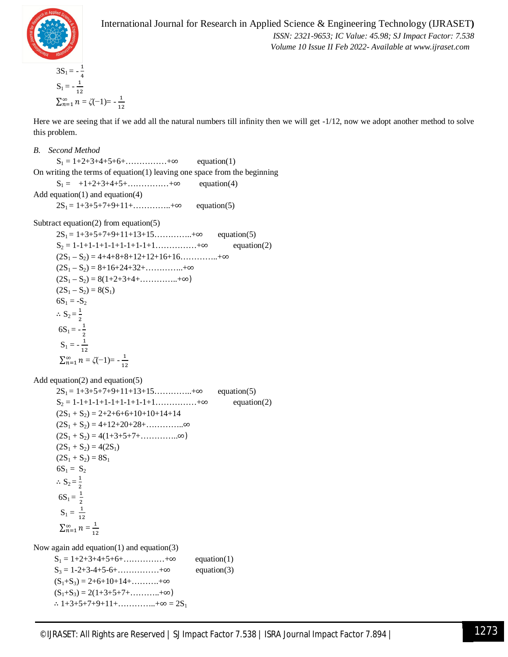

#### International Journal for Research in Applied Science & Engineering Technology (IJRASET**)**

 *ISSN: 2321-9653; IC Value: 45.98; SJ Impact Factor: 7.538 Volume 10 Issue II Feb 2022- Available at www.ijraset.com*

$$
3S_1 = -\frac{1}{4}
$$
  
\n
$$
S_1 = -\frac{1}{12}
$$
  
\n
$$
\sum_{n=1}^{\infty} n = \zeta(-1) = -\frac{1}{12}
$$

Here we are seeing that if we add all the natural numbers till infinity then we will get -1/12, now we adopt another method to solve this problem.

#### *B. Second Method*

 $S_1 = 1 + 2 + 3 + 4 + 5 + 6 + \dots + \infty$  equation(1) On writing the terms of equation(1) leaving one space from the beginning  $S_1 = +1+2+3+4+5+\ldots +\infty$  equation(4) Add equation(1) and equation(4)  $2S_1 = 1+3+5+7+9+11+\ldots +\infty$  equation(5)

Subtract equation(2) from equation(5)

 $2S_1 = 1+3+5+7+9+11+13+15...$   $\infty$  equation(5)  $S_2 = 1-1+1-1+1-1+1-1+1+1+\dots +\infty$  equation(2)  $(2S_1 - S_2) = 4+4+8+8+12+12+16+16...$   $\cdots$   $\cdots$   $\cdots$   $\infty$  $(2S_1 - S_2) = 8 + 16 + 24 + 32 + \dots + \infty$  $(2S_1 - S_2) = 8(1+2+3+4+\ldots +\infty)$  $(2S_1 - S_2) = 8(S_1)$  $6S_1 = -S_2$  $\therefore$  S<sub>2</sub> =  $\frac{1}{2}$ ଶ  $6S_1 = -\frac{1}{2}$  $\overline{\mathbf{c}}$  $S_1 = -\frac{1}{12}$  $12$  $\sum_{n=1}^{\infty} n = \zeta(-1) = -\frac{1}{12}$  $12$ 

Add equation(2) and equation(5)

 $2S_1 = 1+3+5+7+9+11+13+15...$   $+\infty$  equation(5)  $S_2 = 1-1+1-1+1-1+1-1+1+1+\ldots +\infty$  equation(2)  $(2S_1 + S_2) = 2 + 2 + 6 + 6 + 10 + 10 + 14 + 14$  $(2S_1 + S_2) = 4 + 12 + 20 + 28 + \dots \dots \dots \infty$  $(2S_1 + S_2) = 4(1+3+5+7+\dots \dots \dots \infty)$  $(2S_1 + S_2) = 4(2S_1)$  $(2S_1 + S_2) = 8S_1$  $6S_1 = S_2$  $\therefore$  S<sub>2</sub> =  $\frac{1}{2}$ ଶ  $6S_1 = \frac{1}{2}$  $\overline{c}$  $S_1 = \frac{1}{11}$  $12$  $\sum_{n=1}^{\infty} n = \frac{1}{12}$  $12$ 

Now again add equation(1) and equation(3)

| $S_1 = 1 + 2 + 3 + 4 + 5 + 6 + \dots + \infty$ | equation $(1)$ |
|------------------------------------------------|----------------|
| $S_3 = 1 - 2 + 3 - 4 + 5 - 6 + \dots + \infty$ | equation $(3)$ |
| $(S_1+S_3)=2+6+10+14+\ldots+8$                 |                |
| $(S_1+S_3)=2(1+3+5+7+\ldots+8)$                |                |
| $\therefore$ 1+3+5+7+9+11++ $\infty = 2S_1$    |                |
|                                                |                |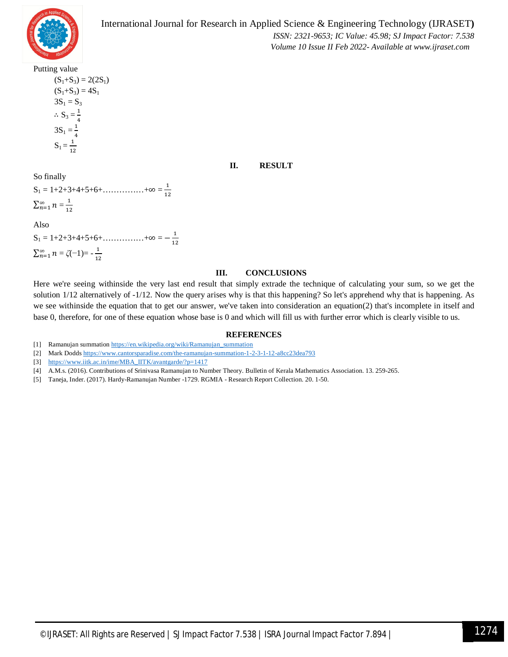

International Journal for Research in Applied Science & Engineering Technology (IJRASET**)**

 *ISSN: 2321-9653; IC Value: 45.98; SJ Impact Factor: 7.538*

 *Volume 10 Issue II Feb 2022- Available at www.ijraset.com*

Putting value

 $(S_1+S_3) = 2(2S_1)$  $(S_1+S_3) = 4S_1$  $3S_1 = S_3$  $\therefore$  S<sub>3</sub> =  $\frac{1}{4}$  $\frac{1}{4}$  $3S_1 = \frac{1}{4}$  $\overline{4}$  $S_1 = \frac{1}{12}$  $12$ 

#### **II. RESULT**

So finally  
\n
$$
S_1 = 1+2+3+4+5+6+\dots + \infty = \frac{1}{12}
$$
  
\n $\sum_{n=1}^{\infty} n = \frac{1}{12}$ 

Also

 $S_1 = 1 + 2 + 3 + 4 + 5 + 6 + \dots + \infty = -\frac{1}{12}$  $12$  $\sum_{n=1}^{\infty} n = \zeta(-1) = -\frac{1}{12}$  $12$ 

#### **III. CONCLUSIONS**

Here we're seeing withinside the very last end result that simply extrade the technique of calculating your sum, so we get the solution  $1/12$  alternatively of  $-1/12$ . Now the query arises why is that this happening? So let's apprehend why that is happening. As we see withinside the equation that to get our answer, we've taken into consideration an equation(2) that's incomplete in itself and base 0, therefore, for one of these equation whose base is 0 and which will fill us with further error which is clearly visible to us.

#### **REFERENCES**

- [1] Ramanujan summation https://en.wikipedia.org/wiki/Ramanujan\_summation
- [2] Mark Dodds https://www.cantorsparadise.com/the-ramanujan-summation-1-2-3-1-12-a8cc23dea793
- [3] https://www.iitk.ac.in/ime/MBA\_IITK/avantgarde/?p=1417
- [4] A.M.s. (2016). Contributions of Srinivasa Ramanujan to Number Theory. Bulletin of Kerala Mathematics Association. 13. 259-265.
- [5] Taneja, Inder. (2017). Hardy-Ramanujan Number -1729. RGMIA Research Report Collection. 20. 1-50.